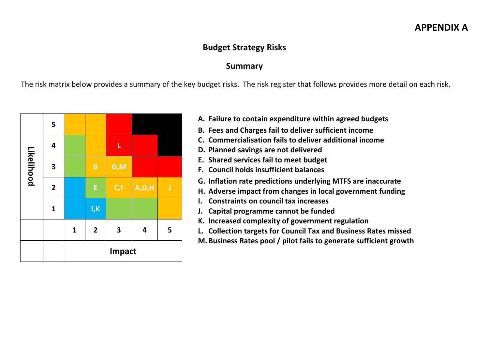#### **APPENDIX A**

#### **Budget Strategy Risks**

#### **Summary**

The risk matrix below provides a summary of the key budget risks. The risk register that follows provides more detail on each risk.



- **A. Failure to contain expenditure within agreed budgets**
- **B. Fees and Charges fail to deliver sufficient income**
- **C. Commercialisation fails to deliver additional income**
- **D. Planned savings are not delivered**
- **E. Shared services fail to meet budget**
- **F. Council holds insufficient balances**
- **G. Inflation rate predictions underlying MTFS are inaccurate**
- **H. Adverse impact from changes in local government funding**
- **I. Constraints on council tax increases**
- **J. Capital programme cannot be funded**
- **K. Increased complexity of government regulation**
- **L. Collection targets for Council Tax and Business Rates missed**
- **M. Business Rates pool / pilot fails to generate sufficient growth**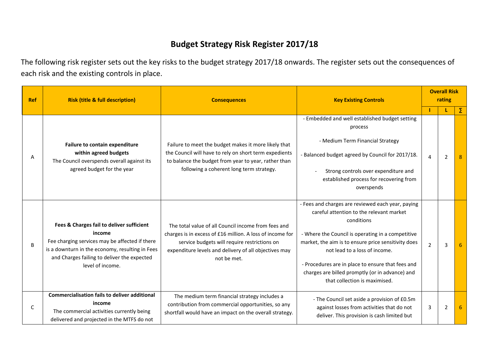### **Budget Strategy Risk Register 2017/18**

The following risk register sets out the key risks to the budget strategy 2017/18 onwards. The register sets out the consequences of each risk and the existing controls in place.

| <b>Ref</b> | <b>Risk (title &amp; full description)</b>                                                                                                                                                                                  | <b>Consequences</b>                                                                                                                                                                                                                      | <b>Key Existing Controls</b>                                                                                                                                                                                                                                                                                                                                                                      |                | <b>Overall Risk</b><br>rating |   |  |
|------------|-----------------------------------------------------------------------------------------------------------------------------------------------------------------------------------------------------------------------------|------------------------------------------------------------------------------------------------------------------------------------------------------------------------------------------------------------------------------------------|---------------------------------------------------------------------------------------------------------------------------------------------------------------------------------------------------------------------------------------------------------------------------------------------------------------------------------------------------------------------------------------------------|----------------|-------------------------------|---|--|
|            |                                                                                                                                                                                                                             |                                                                                                                                                                                                                                          |                                                                                                                                                                                                                                                                                                                                                                                                   |                | L                             | Σ |  |
| А          | Failure to contain expenditure<br>within agreed budgets<br>The Council overspends overall against its<br>agreed budget for the year                                                                                         | Failure to meet the budget makes it more likely that<br>the Council will have to rely on short term expedients<br>to balance the budget from year to year, rather than<br>following a coherent long term strategy.                       | - Embedded and well established budget setting<br>process<br>- Medium Term Financial Strategy<br>- Balanced budget agreed by Council for 2017/18.<br>Strong controls over expenditure and<br>established process for recovering from<br>overspends                                                                                                                                                | $\overline{4}$ | 2                             |   |  |
| B          | Fees & Charges fail to deliver sufficient<br>income<br>Fee charging services may be affected if there<br>is a downturn in the economy, resulting in Fees<br>and Charges failing to deliver the expected<br>level of income. | The total value of all Council income from fees and<br>charges is in excess of £16 million. A loss of income for<br>service budgets will require restrictions on<br>expenditure levels and delivery of all objectives may<br>not be met. | - Fees and charges are reviewed each year, paying<br>careful attention to the relevant market<br>conditions<br>- Where the Council is operating in a competitive<br>market, the aim is to ensure price sensitivity does<br>not lead to a loss of income.<br>- Procedures are in place to ensure that fees and<br>charges are billed promptly (or in advance) and<br>that collection is maximised. | $\overline{2}$ | 3                             |   |  |
| C          | <b>Commercialisation fails to deliver additional</b><br>income<br>The commercial activities currently being<br>delivered and projected in the MTFS do not                                                                   | The medium term financial strategy includes a<br>contribution from commercial opportunities, so any<br>shortfall would have an impact on the overall strategy.                                                                           | - The Council set aside a provision of £0.5m<br>against losses from activities that do not<br>deliver. This provision is cash limited but                                                                                                                                                                                                                                                         | 3              | 2                             |   |  |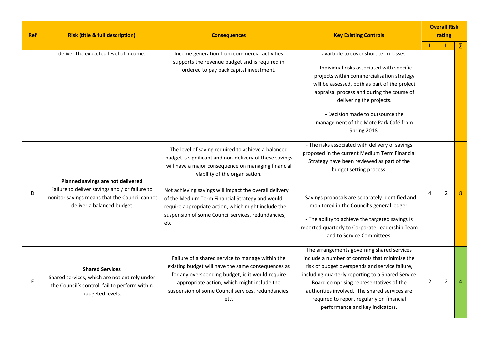| <b>Ref</b> | <b>Risk (title &amp; full description)</b>                                                                                                                        | <b>Consequences</b>                                                                                                                                                                                                                                                                                                                                                                                                                      | <b>Key Existing Controls</b>                                                                                                                                                                                                                                                                                                                                                                                      |                |                | <b>Overall Risk</b><br>rating |  |
|------------|-------------------------------------------------------------------------------------------------------------------------------------------------------------------|------------------------------------------------------------------------------------------------------------------------------------------------------------------------------------------------------------------------------------------------------------------------------------------------------------------------------------------------------------------------------------------------------------------------------------------|-------------------------------------------------------------------------------------------------------------------------------------------------------------------------------------------------------------------------------------------------------------------------------------------------------------------------------------------------------------------------------------------------------------------|----------------|----------------|-------------------------------|--|
|            | deliver the expected level of income.                                                                                                                             | Income generation from commercial activities<br>supports the revenue budget and is required in<br>ordered to pay back capital investment.                                                                                                                                                                                                                                                                                                | available to cover short term losses.<br>- Individual risks associated with specific<br>projects within commercialisation strategy<br>will be assessed, both as part of the project<br>appraisal process and during the course of<br>delivering the projects.<br>- Decision made to outsource the<br>management of the Mote Park Café from<br>Spring 2018.                                                        | п              | L              | Σ                             |  |
| D          | Planned savings are not delivered<br>Failure to deliver savings and / or failure to<br>monitor savings means that the Council cannot<br>deliver a balanced budget | The level of saving required to achieve a balanced<br>budget is significant and non-delivery of these savings<br>will have a major consequence on managing financial<br>viability of the organisation.<br>Not achieving savings will impact the overall delivery<br>of the Medium Term Financial Strategy and would<br>require appropriate action, which might include the<br>suspension of some Council services, redundancies,<br>etc. | - The risks associated with delivery of savings<br>proposed in the current Medium Term Financial<br>Strategy have been reviewed as part of the<br>budget setting process.<br>- Savings proposals are separately identified and<br>monitored in the Council's general ledger.<br>- The ability to achieve the targeted savings is<br>reported quarterly to Corporate Leadership Team<br>and to Service Committees. | 4              | $\overline{2}$ |                               |  |
| E          | <b>Shared Services</b><br>Shared services, which are not entirely under<br>the Council's control, fail to perform within<br>budgeted levels.                      | Failure of a shared service to manage within the<br>existing budget will have the same consequences as<br>for any overspending budget, ie it would require<br>appropriate action, which might include the<br>suspension of some Council services, redundancies,<br>etc.                                                                                                                                                                  | The arrangements governing shared services<br>include a number of controls that minimise the<br>risk of budget overspends and service failure,<br>including quarterly reporting to a Shared Service<br>Board comprising representatives of the<br>authorities involved. The shared services are<br>required to report regularly on financial<br>performance and key indicators.                                   | $\overline{2}$ | $\overline{2}$ |                               |  |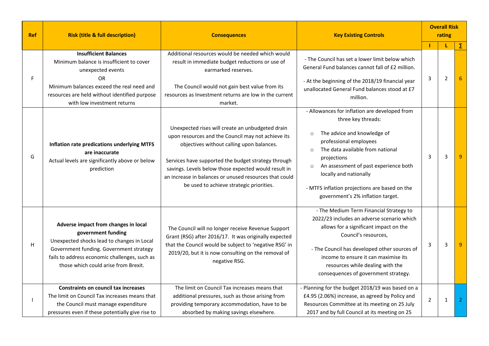| <b>Ref</b> | <b>Risk (title &amp; full description)</b>                                                                                                                                                                                                   | <b>Key Existing Controls</b><br><b>Consequences</b>                                                                                                                                                                                                                                                                                                                                                                                                                                                                                                                                                                                                                                                                                                    |  |                |                |                | <b>Overall Risk</b><br>rating |  |
|------------|----------------------------------------------------------------------------------------------------------------------------------------------------------------------------------------------------------------------------------------------|--------------------------------------------------------------------------------------------------------------------------------------------------------------------------------------------------------------------------------------------------------------------------------------------------------------------------------------------------------------------------------------------------------------------------------------------------------------------------------------------------------------------------------------------------------------------------------------------------------------------------------------------------------------------------------------------------------------------------------------------------------|--|----------------|----------------|----------------|-------------------------------|--|
|            |                                                                                                                                                                                                                                              |                                                                                                                                                                                                                                                                                                                                                                                                                                                                                                                                                                                                                                                                                                                                                        |  |                | L              | Σ              |                               |  |
| F          | <b>Insufficient Balances</b><br>Minimum balance is insufficient to cover<br>unexpected events<br><b>OR</b><br>Minimum balances exceed the real need and<br>resources are held without identified purpose<br>with low investment returns      | Additional resources would be needed which would<br>- The Council has set a lower limit below which<br>result in immediate budget reductions or use of<br>General Fund balances cannot fall of £2 million.<br>earmarked reserves.<br>- At the beginning of the 2018/19 financial year<br>The Council would not gain best value from its<br>unallocated General Fund balances stood at £7<br>resources as Investment returns are low in the current<br>million.<br>market.                                                                                                                                                                                                                                                                              |  | 3              | $\overline{2}$ |                |                               |  |
| G          | Inflation rate predications underlying MTFS<br>are inaccurate<br>Actual levels are significantly above or below<br>prediction                                                                                                                | - Allowances for inflation are developed from<br>three key threads:<br>Unexpected rises will create an unbudgeted drain<br>The advice and knowledge of<br>$\circ$<br>upon resources and the Council may not achieve its<br>professional employees<br>objectives without calling upon balances.<br>The data available from national<br>$\Omega$<br>projections<br>Services have supported the budget strategy through<br>An assessment of past experience both<br>$\circ$<br>savings. Levels below those expected would result in<br>locally and nationally<br>an increase in balances or unused resources that could<br>be used to achieve strategic priorities.<br>- MTFS inflation projections are based on the<br>government's 2% inflation target. |  | 3              | 3              |                |                               |  |
| Н          | Adverse impact from changes in local<br>government funding<br>Unexpected shocks lead to changes in Local<br>Government funding. Government strategy<br>fails to address economic challenges, such as<br>those which could arise from Brexit. | - The Medium Term Financial Strategy to<br>2022/23 includes an adverse scenario which<br>allows for a significant impact on the<br>The Council will no longer receive Revenue Support<br>Council's resources,<br>Grant (RSG) after 2016/17. It was originally expected<br>that the Council would be subject to 'negative RSG' in<br>- The Council has developed other sources of<br>2019/20, but it is now consulting on the removal of<br>income to ensure it can maximise its<br>negative RSG.<br>resources while dealing with the<br>consequences of government strategy.                                                                                                                                                                           |  | 3              | 3              |                |                               |  |
|            | <b>Constraints on council tax increases</b><br>The limit on Council Tax increases means that<br>the Council must manage expenditure<br>pressures even if these potentially give rise to                                                      | - Planning for the budget 2018/19 was based on a<br>The limit on Council Tax increases means that<br>£4.95 (2.06%) increase, as agreed by Policy and<br>additional pressures, such as those arising from<br>providing temporary accommodation, have to be<br>Resources Committee at its meeting on 25 July<br>absorbed by making savings elsewhere.<br>2017 and by full Council at its meeting on 25                                                                                                                                                                                                                                                                                                                                                   |  | $\overline{2}$ | 1              | $\overline{2}$ |                               |  |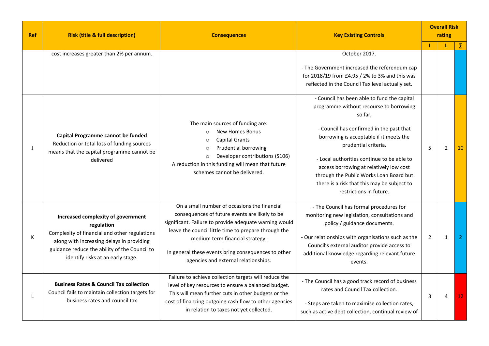| <b>Ref</b> | <b>Risk (title &amp; full description)</b>                                                                                                                                                                                           | <b>Consequences</b>                                                                                                                                                                                                                                                                                                                                | <b>Key Existing Controls</b>                                                                                                                                                                                                                                                                                                                                                                                                   |                | <b>Overall Risk</b><br>rating |                 |  |
|------------|--------------------------------------------------------------------------------------------------------------------------------------------------------------------------------------------------------------------------------------|----------------------------------------------------------------------------------------------------------------------------------------------------------------------------------------------------------------------------------------------------------------------------------------------------------------------------------------------------|--------------------------------------------------------------------------------------------------------------------------------------------------------------------------------------------------------------------------------------------------------------------------------------------------------------------------------------------------------------------------------------------------------------------------------|----------------|-------------------------------|-----------------|--|
|            |                                                                                                                                                                                                                                      |                                                                                                                                                                                                                                                                                                                                                    |                                                                                                                                                                                                                                                                                                                                                                                                                                |                | L                             | Σ               |  |
|            | cost increases greater than 2% per annum.                                                                                                                                                                                            |                                                                                                                                                                                                                                                                                                                                                    | October 2017.<br>- The Government increased the referendum cap<br>for 2018/19 from £4.95 / 2% to 3% and this was<br>reflected in the Council Tax level actually set.                                                                                                                                                                                                                                                           |                |                               |                 |  |
| J          | Capital Programme cannot be funded<br>Reduction or total loss of funding sources<br>means that the capital programme cannot be<br>delivered                                                                                          | The main sources of funding are:<br><b>New Homes Bonus</b><br>$\circ$<br><b>Capital Grants</b><br>$\circ$<br>Prudential borrowing<br>$\circ$<br>Developer contributions (S106)<br>$\circ$<br>A reduction in this funding will mean that future<br>schemes cannot be delivered.                                                                     | - Council has been able to fund the capital<br>programme without recourse to borrowing<br>so far,<br>- Council has confirmed in the past that<br>borrowing is acceptable if it meets the<br>prudential criteria.<br>- Local authorities continue to be able to<br>access borrowing at relatively low cost<br>through the Public Works Loan Board but<br>there is a risk that this may be subject to<br>restrictions in future. | 5              | $\overline{2}$                | 10              |  |
| К          | Increased complexity of government<br>regulation<br>Complexity of financial and other regulations<br>along with increasing delays in providing<br>guidance reduce the ability of the Council to<br>identify risks at an early stage. | On a small number of occasions the financial<br>consequences of future events are likely to be<br>significant. Failure to provide adequate warning would<br>leave the council little time to prepare through the<br>medium term financial strategy.<br>In general these events bring consequences to other<br>agencies and external relationships. | - The Council has formal procedures for<br>monitoring new legislation, consultations and<br>policy / guidance documents.<br>- Our relationships with organisations such as the<br>Council's external auditor provide access to<br>additional knowledge regarding relevant future<br>events.                                                                                                                                    | $\overline{2}$ | 1                             | 2               |  |
|            | <b>Business Rates &amp; Council Tax collection</b><br>Council fails to maintain collection targets for<br>business rates and council tax                                                                                             | Failure to achieve collection targets will reduce the<br>level of key resources to ensure a balanced budget.<br>This will mean further cuts in other budgets or the<br>cost of financing outgoing cash flow to other agencies<br>in relation to taxes not yet collected.                                                                           | - The Council has a good track record of business<br>rates and Council Tax collection.<br>- Steps are taken to maximise collection rates,<br>such as active debt collection, continual review of                                                                                                                                                                                                                               | 3              | 4                             | 12 <sub>1</sub> |  |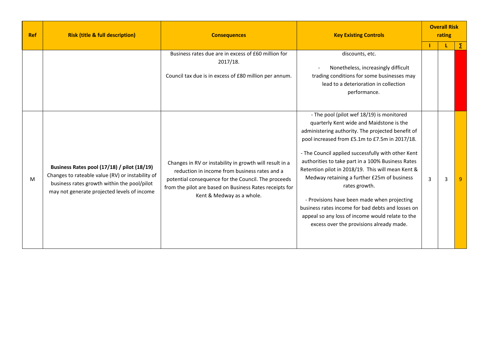| <b>Ref</b> | <b>Risk (title &amp; full description)</b>                                                                                                                                                    | <b>Key Existing Controls</b><br><b>Consequences</b>                                                                                                                                                                                                     |                                                                                                                                                                                                                                                                                                                                                                                                                                                                                                                                                                                                                                  |                | <b>Overall Risk</b><br>rating |   |
|------------|-----------------------------------------------------------------------------------------------------------------------------------------------------------------------------------------------|---------------------------------------------------------------------------------------------------------------------------------------------------------------------------------------------------------------------------------------------------------|----------------------------------------------------------------------------------------------------------------------------------------------------------------------------------------------------------------------------------------------------------------------------------------------------------------------------------------------------------------------------------------------------------------------------------------------------------------------------------------------------------------------------------------------------------------------------------------------------------------------------------|----------------|-------------------------------|---|
|            |                                                                                                                                                                                               |                                                                                                                                                                                                                                                         |                                                                                                                                                                                                                                                                                                                                                                                                                                                                                                                                                                                                                                  |                | L                             | Σ |
|            |                                                                                                                                                                                               | Business rates due are in excess of £60 million for<br>2017/18.<br>Council tax due is in excess of £80 million per annum.                                                                                                                               | discounts, etc.<br>Nonetheless, increasingly difficult<br>trading conditions for some businesses may<br>lead to a deterioration in collection<br>performance.                                                                                                                                                                                                                                                                                                                                                                                                                                                                    |                |                               |   |
| M          | Business Rates pool (17/18) / pilot (18/19)<br>Changes to rateable value (RV) or instability of<br>business rates growth within the pool/pilot<br>may not generate projected levels of income | Changes in RV or instability in growth will result in a<br>reduction in income from business rates and a<br>potential consequence for the Council. The proceeds<br>from the pilot are based on Business Rates receipts for<br>Kent & Medway as a whole. | - The pool (pilot wef 18/19) is monitored<br>quarterly Kent wide and Maidstone is the<br>administering authority. The projected benefit of<br>pool increased from £5.1m to £7.5m in 2017/18.<br>- The Council applied successfully with other Kent<br>authorities to take part in a 100% Business Rates<br>Retention pilot in 2018/19. This will mean Kent &<br>Medway retaining a further £25m of business<br>rates growth.<br>- Provisions have been made when projecting<br>business rates income for bad debts and losses on<br>appeal so any loss of income would relate to the<br>excess over the provisions already made. | $\overline{3}$ | 3                             |   |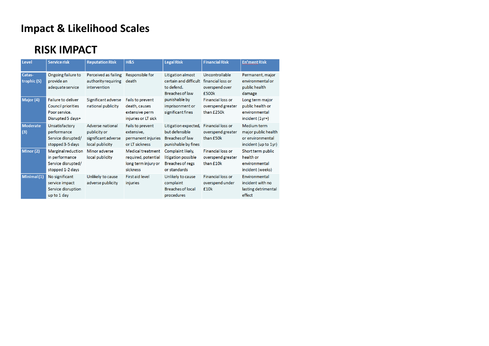## **Impact & Likelihood Scales**

### **RISK IMPACT**

| Level                  | <b>Service risk</b>                                                                          | <b>Reputation Risk</b>                                                     | <b>H&amp;S</b>                                                                     | <b>Legal Risk</b>                                                                   | <b>Financial Risk</b>                                          | <b>En'ment Risk</b>                                                            |  |
|------------------------|----------------------------------------------------------------------------------------------|----------------------------------------------------------------------------|------------------------------------------------------------------------------------|-------------------------------------------------------------------------------------|----------------------------------------------------------------|--------------------------------------------------------------------------------|--|
| Catas-<br>trophic (5)  | Ongoing failure to<br>provide an<br>adequate service                                         | Perceived as failing<br>authority requiring<br>intervention                | Responsible for<br>death                                                           | Litigation almost<br>certain and difficult<br>to defend.<br>Breaches of law         | Uncontrollable<br>financial loss or<br>overspend over<br>£500k | Permanent, major<br>environmental or<br>public health<br>damage                |  |
| Major (4)              | <b>Failure to deliver</b><br><b>Council priorities</b><br>Poor service.<br>Disrupted 5 days+ | Significant adverse<br>national publicity                                  | Fails to prevent<br>death, causes<br>extensive perm<br>injuries or LT sick         | punishable by<br>imprisonment or<br>significant fines                               | <b>Financial loss or</b><br>overspend greater<br>than £250k    | Long term major<br>public health or<br>environmental<br>$incident (1yr+)$      |  |
| <b>Moderate</b><br>(3) | Unsatisfactory<br>performance<br>Service disrupted/<br>stopped 3-5 days                      | Adverse national<br>publicity or<br>significant adverse<br>local publicity | Fails to prevent<br>extensive,<br>permanent injuries<br>or LT sickness             | Litigation expected,<br>but defensible<br>Breaches of law<br>punishable by fines    | Financial loss or<br>overspend greater<br>than £50k            | Medium term<br>major public health<br>or environmental<br>incident (up to 1yr) |  |
| Minor (2)              | Marginal reduction<br>in performance<br>Service disrupted/<br>stopped 1-2 days               | Minor adverse<br>local publicity                                           | <b>Medical treatment</b><br>required, potential<br>long term injury or<br>sickness | Complaint likely,<br>litigation possible<br><b>Breaches of regs</b><br>or standards | <b>Financial loss or</b><br>overspend greater<br>than £10k     | Short term public<br>health or<br>environmental<br>incident (weeks)            |  |
| Minimal(1)             | No significant<br>service impact<br>Service disruption<br>up to 1 day                        | Unlikely to cause<br>adverse publicity                                     | <b>First aid level</b><br>injuries                                                 | Unlikely to cause<br>complaint<br><b>Breaches of local</b><br>procedures            | <b>Financial loss or</b><br>overspend under<br>£10k            | Environmental<br>incident with no<br>lasting detrimental<br>effect             |  |